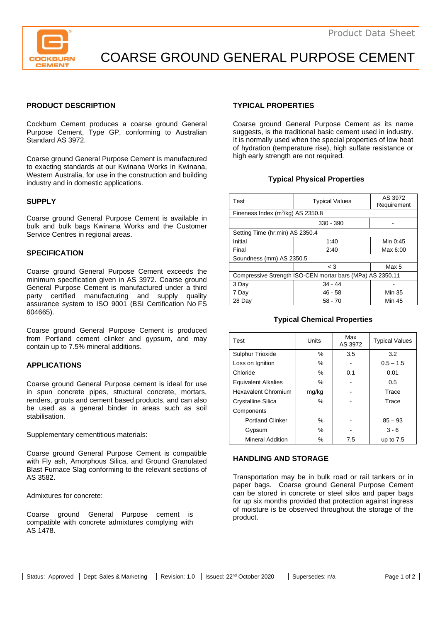

COARSE GROUND GENERAL PURPOSE CEMENT

## **PRODUCT DESCRIPTION**

Cockburn Cement produces a coarse ground General Purpose Cement, Type GP, conforming to Australian Standard AS 3972.

Coarse ground General Purpose Cement is manufactured to exacting standards at our Kwinana Works in Kwinana, Western Australia, for use in the construction and building industry and in domestic applications.

### **SUPPLY**

Coarse ground General Purpose Cement is available in bulk and bulk bags Kwinana Works and the Customer Service Centres in regional areas.

### **SPECIFICATION**

Coarse ground General Purpose Cement exceeds the minimum specification given in AS 3972. Coarse ground General Purpose Cement is manufactured under a third party certified manufacturing and supply quality assurance system to ISO 9001 (BSI Certification No FS 604665).

Coarse ground General Purpose Cement is produced from Portland cement clinker and gypsum, and may contain up to 7.5% mineral additions.

### **APPLICATIONS**

Coarse ground General Purpose cement is ideal for use in spun concrete pipes, structural concrete, mortars, renders, grouts and cement based products, and can also be used as a general binder in areas such as soil stabilisation.

Supplementary cementitious materials:

Coarse ground General Purpose Cement is compatible with Fly ash, Amorphous Silica, and Ground Granulated Blast Furnace Slag conforming to the relevant sections of AS 3582.

Admixtures for concrete:

Coarse ground General Purpose cement is compatible with concrete admixtures complying with AS 1478.

## **TYPICAL PROPERTIES**

Coarse ground General Purpose Cement as its name suggests, is the traditional basic cement used in industry. It is normally used when the special properties of low heat of hydration (temperature rise), high sulfate resistance or high early strength are not required.

## **Typical Physical Properties**

| Test                                                      | <b>Typical Values</b> | AS 3972<br>Requirement |  |  |
|-----------------------------------------------------------|-----------------------|------------------------|--|--|
| Fineness Index (m <sup>2</sup> /kg) AS 2350.8             |                       |                        |  |  |
|                                                           | 330 - 390             |                        |  |  |
| Setting Time (hr:min) AS 2350.4                           |                       |                        |  |  |
| Initial                                                   | 1:40                  | Min 0:45               |  |  |
| Final                                                     | 2:40                  | Max 6:00               |  |  |
| Soundness (mm) AS 2350.5                                  |                       |                        |  |  |
|                                                           | $\leq 3$              | Max 5                  |  |  |
| Compressive Strength ISO-CEN mortar bars (MPa) AS 2350.11 |                       |                        |  |  |
| 3 Day                                                     | $34 - 44$             |                        |  |  |
| 7 Day                                                     | $46 - 58$             | Min 35                 |  |  |
| 28 Day                                                    | $58 - 70$             | <b>Min 45</b>          |  |  |

### **Typical Chemical Properties**

| Test                       | Units | Max<br>AS 3972 | <b>Typical Values</b> |
|----------------------------|-------|----------------|-----------------------|
| <b>Sulphur Trioxide</b>    | $\%$  | 3.5            | 3.2                   |
| Loss on Ignition           | %     |                | $0.5 - 1.5$           |
| Chloride                   | $\%$  | 0.1            | 0.01                  |
| <b>Equivalent Alkalies</b> | $\%$  |                | 0.5                   |
| <b>Hexavalent Chromium</b> | mg/kg |                | Trace                 |
| Crystalline Silica         | $\%$  |                | Trace                 |
| Components                 |       |                |                       |
| <b>Portland Clinker</b>    | $\%$  |                | $85 - 93$             |
| Gypsum                     | $\%$  |                | $3 - 6$               |
| <b>Mineral Addition</b>    | ℅     | 7.5            | up to $7.5$           |

## **HANDLING AND STORAGE**

Transportation may be in bulk road or rail tankers or in paper bags. Coarse ground General Purpose Cement can be stored in concrete or steel silos and paper bags for up six months provided that protection against ingress of moisture is be observed throughout the storage of the product.